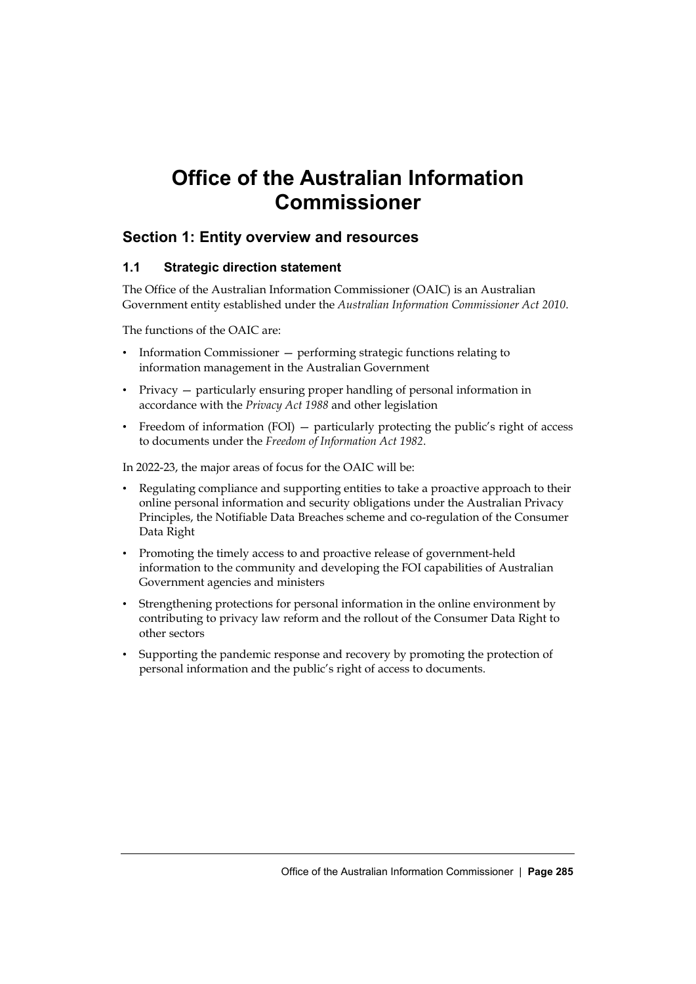# **Office of the Australian Information Commissioner**

# **Section 1: Entity overview and resources**

# **1.1 Strategic direction statement**

The Office of the Australian Information Commissioner (OAIC) is an Australian Government entity established under the *Australian Information Commissioner Act 2010*.

The functions of the OAIC are:

- Information Commissioner performing strategic functions relating to information management in the Australian Government
- Privacy particularly ensuring proper handling of personal information in accordance with the *Privacy Act 1988* and other legislation
- Freedom of information (FOI) particularly protecting the public's right of access to documents under the *Freedom of Information Act 1982*.

In 2022-23, the major areas of focus for the OAIC will be:

- Regulating compliance and supporting entities to take a proactive approach to their online personal information and security obligations under the Australian Privacy Principles, the Notifiable Data Breaches scheme and co-regulation of the Consumer Data Right
- Promoting the timely access to and proactive release of government-held information to the community and developing the FOI capabilities of Australian Government agencies and ministers
- Strengthening protections for personal information in the online environment by contributing to privacy law reform and the rollout of the Consumer Data Right to other sectors
- Supporting the pandemic response and recovery by promoting the protection of personal information and the public's right of access to documents.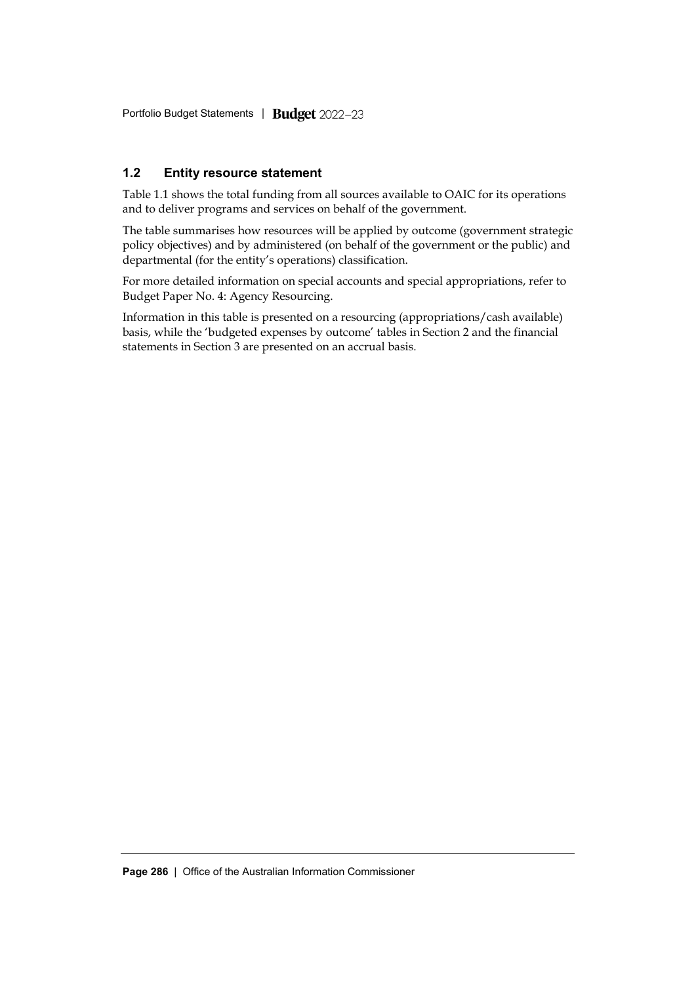Portfolio Budget Statements *|* 

# **1.2 Entity resource statement**

Table 1.1 shows the total funding from all sources available to OAIC for its operations and to deliver programs and services on behalf of the government.

The table summarises how resources will be applied by outcome (government strategic policy objectives) and by administered (on behalf of the government or the public) and departmental (for the entity's operations) classification.

For more detailed information on special accounts and special appropriations, refer to Budget Paper No. 4: Agency Resourcing.

Information in this table is presented on a resourcing (appropriations/cash available) basis, while the 'budgeted expenses by outcome' tables in Section 2 and the financial statements in Section 3 are presented on an accrual basis.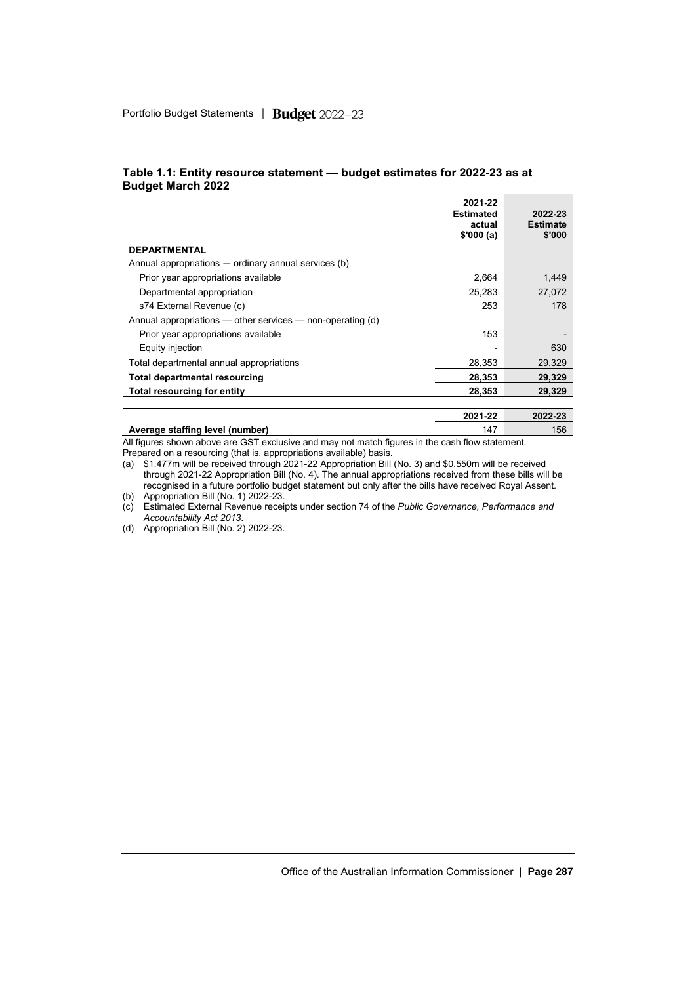|                                                                | 2021-22<br><b>Estimated</b><br>actual<br>\$'000(a) | 2022-23<br><b>Estimate</b><br>\$'000 |
|----------------------------------------------------------------|----------------------------------------------------|--------------------------------------|
| <b>DEPARTMENTAL</b>                                            |                                                    |                                      |
| Annual appropriations — ordinary annual services (b)           |                                                    |                                      |
| Prior year appropriations available                            | 2.664                                              | 1.449                                |
| Departmental appropriation                                     | 25,283                                             | 27,072                               |
| s74 External Revenue (c)                                       | 253                                                | 178                                  |
| Annual appropriations $-$ other services $-$ non-operating (d) |                                                    |                                      |
| Prior year appropriations available                            | 153                                                |                                      |
| Equity injection                                               |                                                    | 630                                  |
| Total departmental annual appropriations                       | 28,353                                             | 29.329                               |
| Total departmental resourcing                                  | 28,353                                             | 29,329                               |
| Total resourcing for entity                                    | 28,353                                             | 29.329                               |
|                                                                |                                                    |                                      |
|                                                                | 2021-22                                            | 2022-23                              |

#### **Table 1.1: Entity resource statement — budget estimates for 2022-23 as at Budget March 2022**

**Average staffing level (number)** 147 156 All figures shown above are GST exclusive and may not match figures in the cash flow statement.

Prepared on a resourcing (that is, appropriations available) basis.

(a) \$1.477m will be received through 2021-22 Appropriation Bill (No. 3) and \$0.550m will be received through 2021-22 Appropriation Bill (No. 4). The annual appropriations received from these bills will be recognised in a future portfolio budget statement but only after the bills have received Royal Assent. (b) Appropriation Bill (No. 1) 2022-23.

(c) Estimated External Revenue receipts under section 74 of the *Public Governance, Performance and Accountability Act 2013*.

(d) Appropriation Bill (No. 2) 2022-23.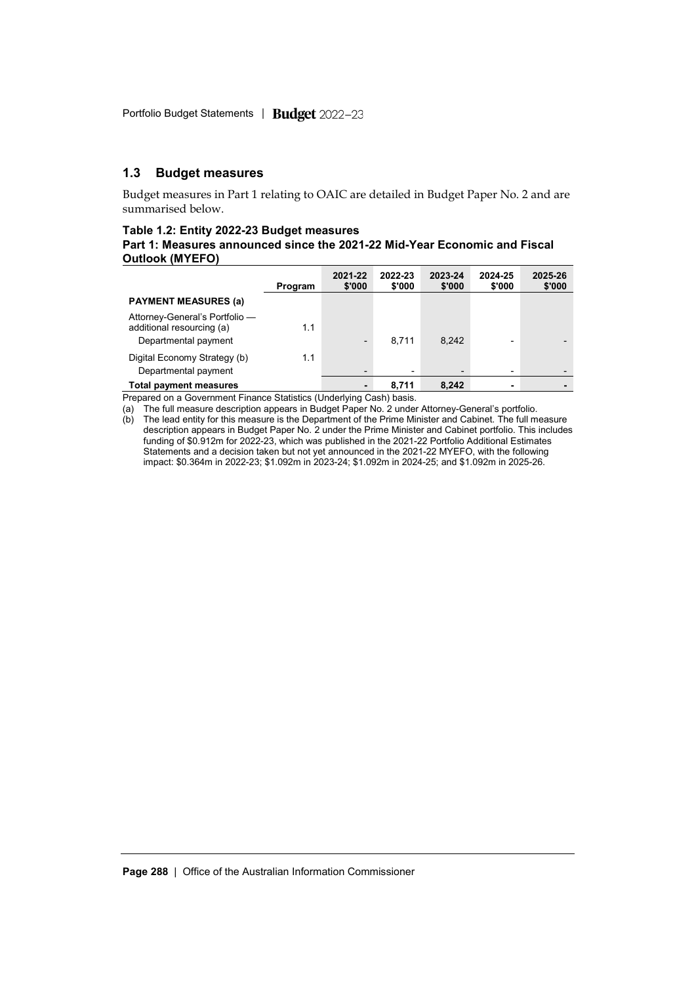## **1.3 Budget measures**

Budget measures in Part 1 relating to OAIC are detailed in Budget Paper No. 2 and are summarised below.

#### **Table 1.2: Entity 2022-23 Budget measures**

### **Part 1: Measures announced since the 2021-22 Mid-Year Economic and Fiscal Outlook (MYEFO)**

|                                                                                     | Program | 2021-22<br>\$'000        | 2022-23<br>\$'000 | 2023-24<br>\$'000        | 2024-25<br>\$'000 | 2025-26<br>\$'000 |
|-------------------------------------------------------------------------------------|---------|--------------------------|-------------------|--------------------------|-------------------|-------------------|
| <b>PAYMENT MEASURES (a)</b>                                                         |         |                          |                   |                          |                   |                   |
| Attorney-General's Portfolio -<br>additional resourcing (a)<br>Departmental payment | 1.1     | $\overline{\phantom{0}}$ | 8.711             | 8.242                    |                   |                   |
| Digital Economy Strategy (b)<br>Departmental payment                                | 1.1     | $\overline{\phantom{0}}$ | -                 | $\overline{\phantom{0}}$ | ٠                 |                   |
| <b>Total payment measures</b>                                                       |         |                          | 8.711             | 8.242                    | ۰                 |                   |

Prepared on a Government Finance Statistics (Underlying Cash) basis.

(a) The full measure description appears in Budget Paper No. 2 under Attorney-General's portfolio.

(b) The lead entity for this measure is the Department of the Prime Minister and Cabinet. The full measure description appears in Budget Paper No. 2 under the Prime Minister and Cabinet portfolio. This includes funding of \$0.912m for 2022-23, which was published in the 2021-22 Portfolio Additional Estimates Statements and a decision taken but not yet announced in the 2021-22 MYEFO, with the following impact: \$0.364m in 2022-23; \$1.092m in 2023-24; \$1.092m in 2024-25; and \$1.092m in 2025-26.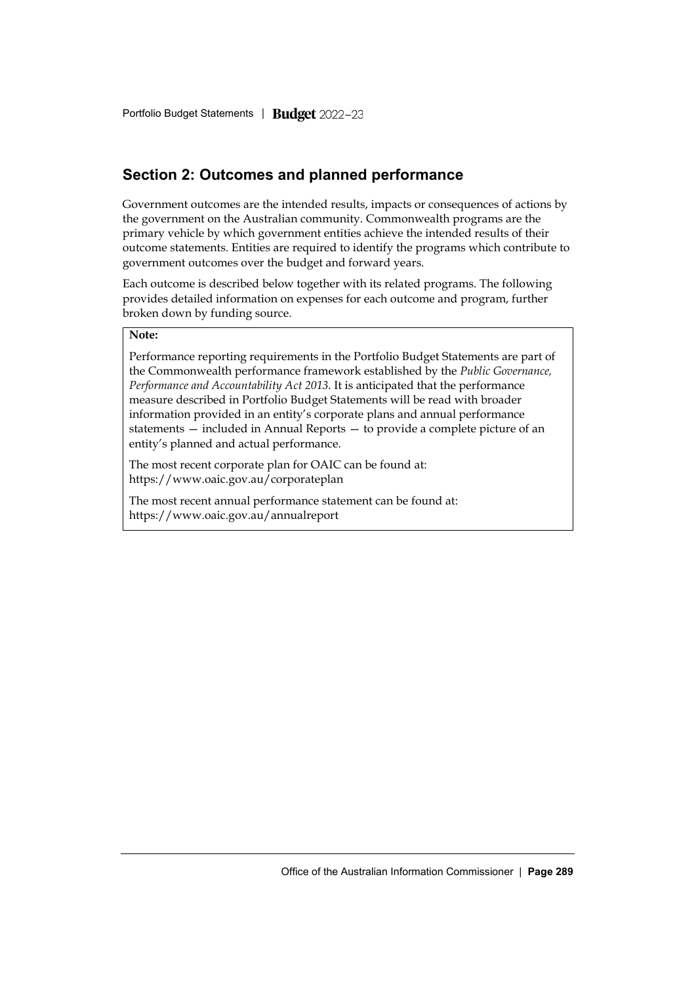# **Section 2: Outcomes and planned performance**

Government outcomes are the intended results, impacts or consequences of actions by the government on the Australian community. Commonwealth programs are the primary vehicle by which government entities achieve the intended results of their outcome statements. Entities are required to identify the programs which contribute to government outcomes over the budget and forward years.

Each outcome is described below together with its related programs. The following provides detailed information on expenses for each outcome and program, further broken down by funding source.

### **Note:**

Performance reporting requirements in the Portfolio Budget Statements are part of the Commonwealth performance framework established by the *Public Governance, Performance and Accountability Act 2013*. It is anticipated that the performance measure described in Portfolio Budget Statements will be read with broader information provided in an entity's corporate plans and annual performance statements — included in Annual Reports — to provide a complete picture of an entity's planned and actual performance.

The most recent corporate plan for OAIC can be found at: https://www.oaic.gov.au/corporateplan

The most recent annual performance statement can be found at: https://www.oaic.gov.au/annualreport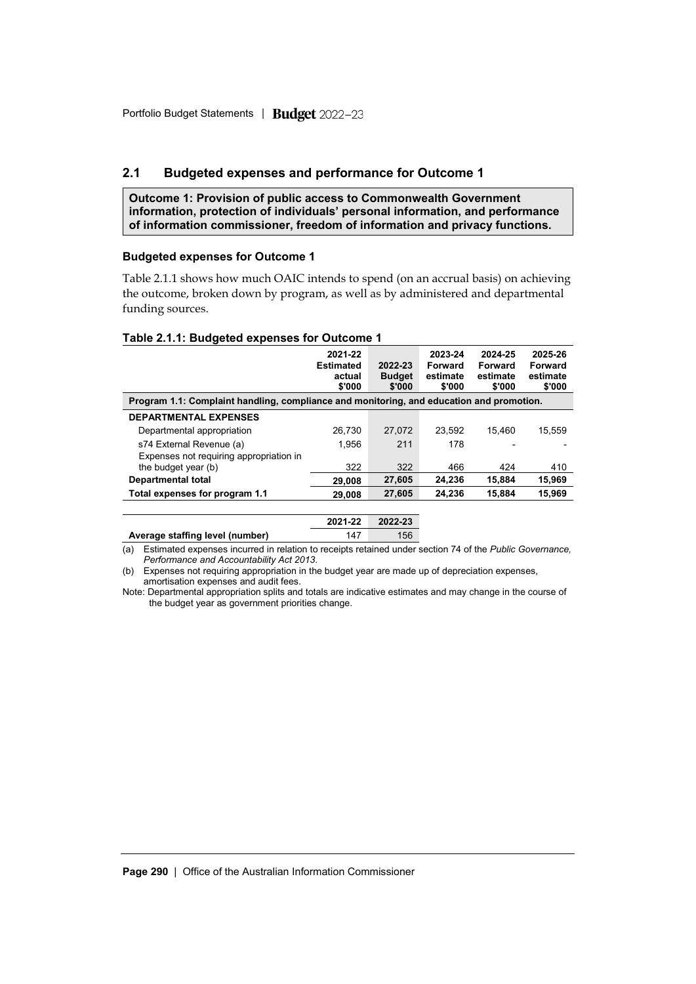# **2.1 Budgeted expenses and performance for Outcome 1**

**Outcome 1: Provision of public access to Commonwealth Government information, protection of individuals' personal information, and performance of information commissioner, freedom of information and privacy functions.**

#### **Budgeted expenses for Outcome 1**

Table 2.1.1 shows how much OAIC intends to spend (on an accrual basis) on achieving the outcome, broken down by program, as well as by administered and departmental funding sources.

#### **Table 2.1.1: Budgeted expenses for Outcome 1**

|                                                                                          | 2021-22<br><b>Estimated</b><br>actual<br>\$'000 | 2022-23<br><b>Budget</b><br>\$'000 | 2023-24<br>Forward<br>estimate<br>\$'000 | 2024-25<br>Forward<br>estimate<br>\$'000 | 2025-26<br>Forward<br>estimate<br>\$'000 |  |
|------------------------------------------------------------------------------------------|-------------------------------------------------|------------------------------------|------------------------------------------|------------------------------------------|------------------------------------------|--|
| Program 1.1: Complaint handling, compliance and monitoring, and education and promotion. |                                                 |                                    |                                          |                                          |                                          |  |
| <b>DEPARTMENTAL EXPENSES</b>                                                             |                                                 |                                    |                                          |                                          |                                          |  |
| Departmental appropriation                                                               | 26.730                                          | 27.072                             | 23.592                                   | 15.460                                   | 15.559                                   |  |
| s74 External Revenue (a)                                                                 | 1.956                                           | 211                                | 178                                      |                                          |                                          |  |
| Expenses not requiring appropriation in                                                  |                                                 |                                    |                                          |                                          |                                          |  |
| the budget year (b)                                                                      | 322                                             | 322                                | 466                                      | 424                                      | 410                                      |  |
| <b>Departmental total</b>                                                                | 29,008                                          | 27,605                             | 24.236                                   | 15.884                                   | 15,969                                   |  |
| Total expenses for program 1.1                                                           | 29.008                                          | 27,605                             | 24,236                                   | 15,884                                   | 15,969                                   |  |
|                                                                                          |                                                 |                                    |                                          |                                          |                                          |  |
|                                                                                          | 2021-22                                         | 2022-23                            |                                          |                                          |                                          |  |

Average staffing level (number) 147 156

(a) Estimated expenses incurred in relation to receipts retained under section 74 of the *Public Governance, Performance and Accountability Act 2013*.

(b) Expenses not requiring appropriation in the budget year are made up of depreciation expenses, amortisation expenses and audit fees.

Note: Departmental appropriation splits and totals are indicative estimates and may change in the course of the budget year as government priorities change.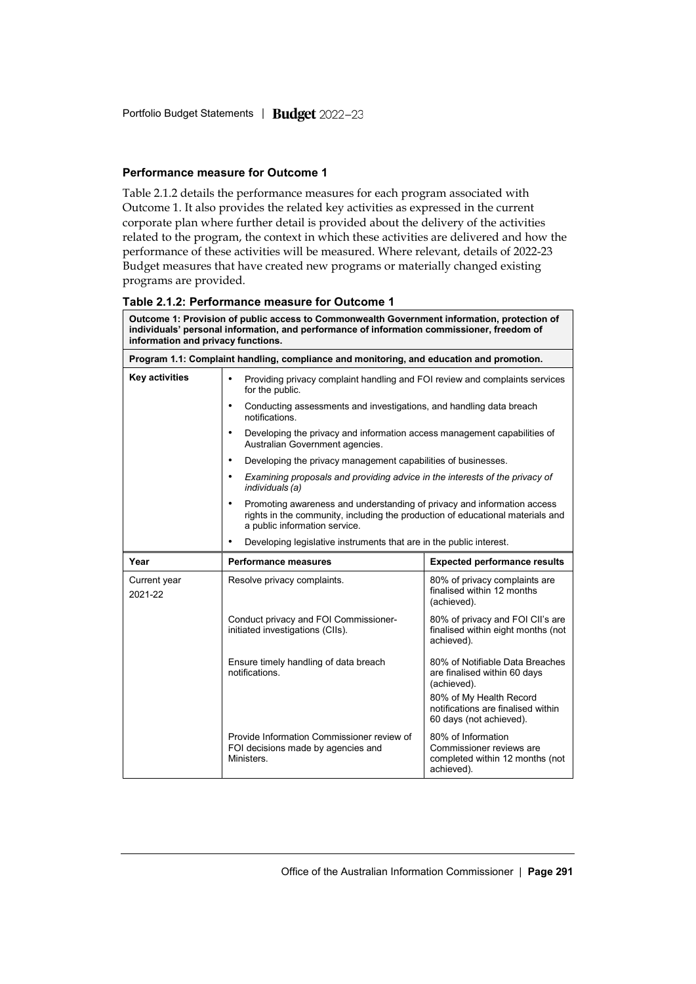# **Performance measure for Outcome 1**

Table 2.1.2 details the performance measures for each program associated with Outcome 1. It also provides the related key activities as expressed in the current corporate plan where further detail is provided about the delivery of the activities related to the program, the context in which these activities are delivered and how the performance of these activities will be measured. Where relevant, details of 2022-23 Budget measures that have created new programs or materially changed existing programs are provided.

## **Table 2.1.2: Performance measure for Outcome 1**

| Outcome 1: Provision of public access to Commonwealth Government information, protection of<br>individuals' personal information, and performance of information commissioner, freedom of<br>information and privacy functions. |                                                                                                             |                                                                                                                                                           |  |  |  |  |
|---------------------------------------------------------------------------------------------------------------------------------------------------------------------------------------------------------------------------------|-------------------------------------------------------------------------------------------------------------|-----------------------------------------------------------------------------------------------------------------------------------------------------------|--|--|--|--|
|                                                                                                                                                                                                                                 | Program 1.1: Complaint handling, compliance and monitoring, and education and promotion.                    |                                                                                                                                                           |  |  |  |  |
| Key activities                                                                                                                                                                                                                  | $\bullet$<br>Providing privacy complaint handling and FOI review and complaints services<br>for the public. |                                                                                                                                                           |  |  |  |  |
|                                                                                                                                                                                                                                 | $\bullet$<br>Conducting assessments and investigations, and handling data breach<br>notifications.          |                                                                                                                                                           |  |  |  |  |
|                                                                                                                                                                                                                                 | $\bullet$<br>Australian Government agencies.                                                                | Developing the privacy and information access management capabilities of                                                                                  |  |  |  |  |
|                                                                                                                                                                                                                                 | $\bullet$<br>Developing the privacy management capabilities of businesses.                                  |                                                                                                                                                           |  |  |  |  |
|                                                                                                                                                                                                                                 | ٠<br>individuals (a)                                                                                        | Examining proposals and providing advice in the interests of the privacy of                                                                               |  |  |  |  |
|                                                                                                                                                                                                                                 | $\bullet$<br>a public information service.                                                                  | Promoting awareness and understanding of privacy and information access<br>rights in the community, including the production of educational materials and |  |  |  |  |
|                                                                                                                                                                                                                                 | ٠<br>Developing legislative instruments that are in the public interest.                                    |                                                                                                                                                           |  |  |  |  |
| Year                                                                                                                                                                                                                            | Performance measures                                                                                        | <b>Expected performance results</b>                                                                                                                       |  |  |  |  |
| Current year<br>2021-22                                                                                                                                                                                                         | Resolve privacy complaints.                                                                                 | 80% of privacy complaints are<br>finalised within 12 months<br>(achieved).                                                                                |  |  |  |  |
|                                                                                                                                                                                                                                 | Conduct privacy and FOI Commissioner-<br>initiated investigations (CIIs).                                   | 80% of privacy and FOI CII's are<br>finalised within eight months (not<br>achieved).                                                                      |  |  |  |  |
|                                                                                                                                                                                                                                 | Ensure timely handling of data breach<br>notifications.                                                     | 80% of Notifiable Data Breaches<br>are finalised within 60 days<br>(achieved).                                                                            |  |  |  |  |
|                                                                                                                                                                                                                                 |                                                                                                             | 80% of My Health Record<br>notifications are finalised within<br>60 days (not achieved).                                                                  |  |  |  |  |
|                                                                                                                                                                                                                                 | Provide Information Commissioner review of<br>FOI decisions made by agencies and<br>Ministers.              | 80% of Information<br>Commissioner reviews are<br>completed within 12 months (not<br>achieved).                                                           |  |  |  |  |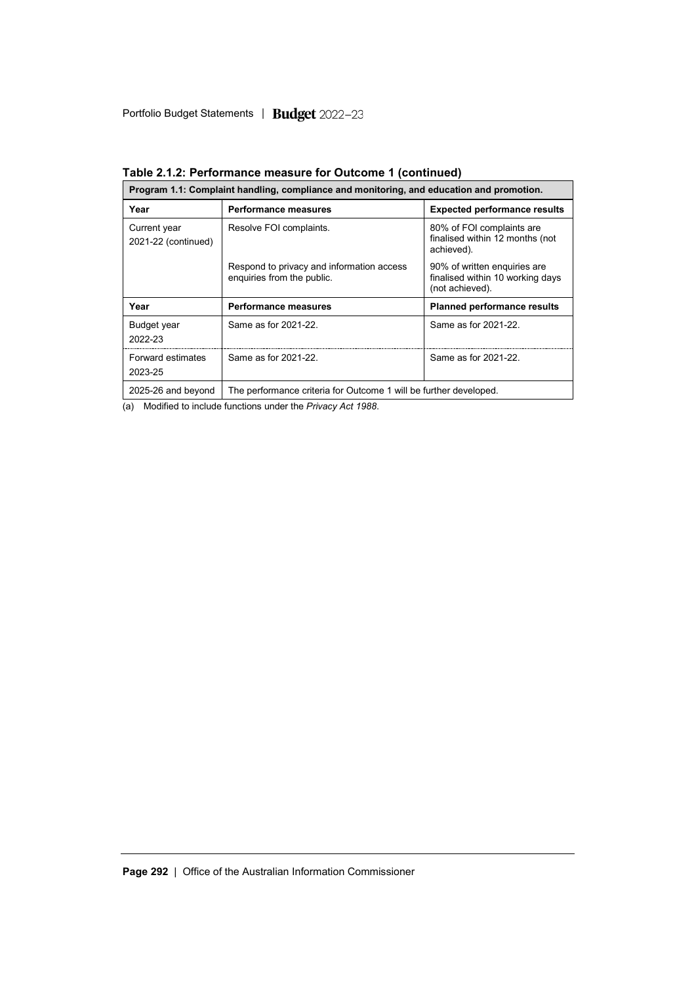| Program 1.1: Complaint handling, compliance and monitoring, and education and promotion. |                                                                         |                                                                                     |  |  |  |
|------------------------------------------------------------------------------------------|-------------------------------------------------------------------------|-------------------------------------------------------------------------------------|--|--|--|
| Year                                                                                     | <b>Performance measures</b>                                             | <b>Expected performance results</b>                                                 |  |  |  |
| Current year<br>2021-22 (continued)                                                      | Resolve FOI complaints.                                                 | 80% of FOI complaints are<br>finalised within 12 months (not<br>achieved).          |  |  |  |
|                                                                                          | Respond to privacy and information access<br>enquiries from the public. | 90% of written enquiries are<br>finalised within 10 working days<br>(not achieved). |  |  |  |
| Year                                                                                     | <b>Performance measures</b>                                             | <b>Planned performance results</b>                                                  |  |  |  |
| <b>Budget year</b><br>2022-23                                                            | Same as for 2021-22.                                                    | Same as for 2021-22.                                                                |  |  |  |
| <b>Forward estimates</b><br>2023-25                                                      | Same as for 2021-22                                                     | Same as for 2021-22.                                                                |  |  |  |
| 2025-26 and beyond                                                                       | The performance criteria for Outcome 1 will be further developed.       |                                                                                     |  |  |  |

**Table 2.1.2: Performance measure for Outcome 1 (continued)**

(a) Modified to include functions under the *Privacy Act 1988*.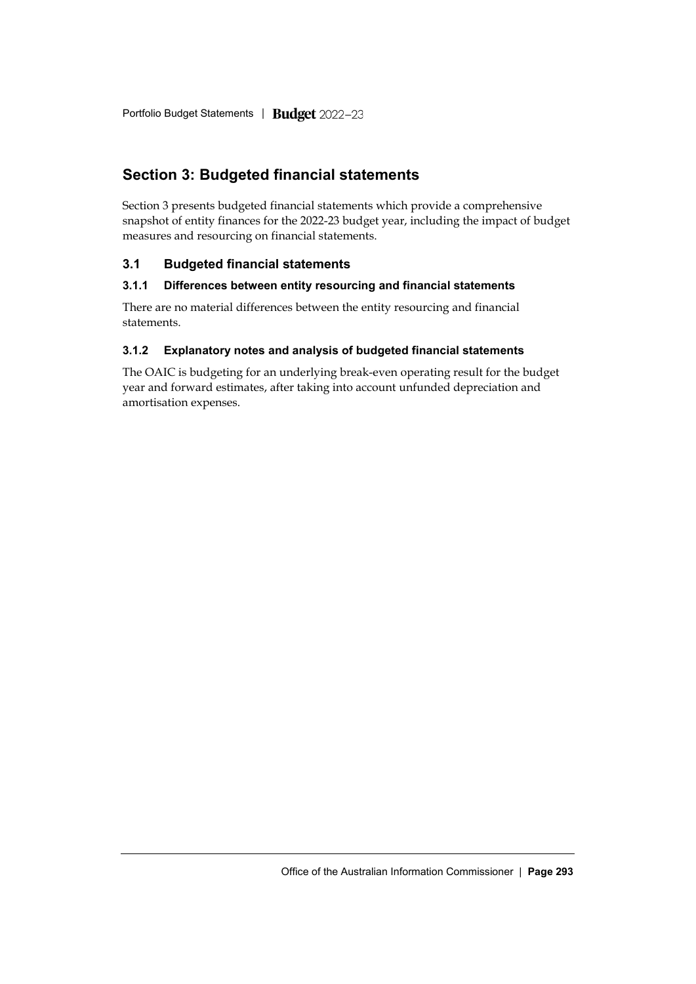# **Section 3: Budgeted financial statements**

Section 3 presents budgeted financial statements which provide a comprehensive snapshot of entity finances for the 2022-23 budget year, including the impact of budget measures and resourcing on financial statements.

# **3.1 Budgeted financial statements**

# **3.1.1 Differences between entity resourcing and financial statements**

There are no material differences between the entity resourcing and financial statements.

# **3.1.2 Explanatory notes and analysis of budgeted financial statements**

The OAIC is budgeting for an underlying break-even operating result for the budget year and forward estimates, after taking into account unfunded depreciation and amortisation expenses.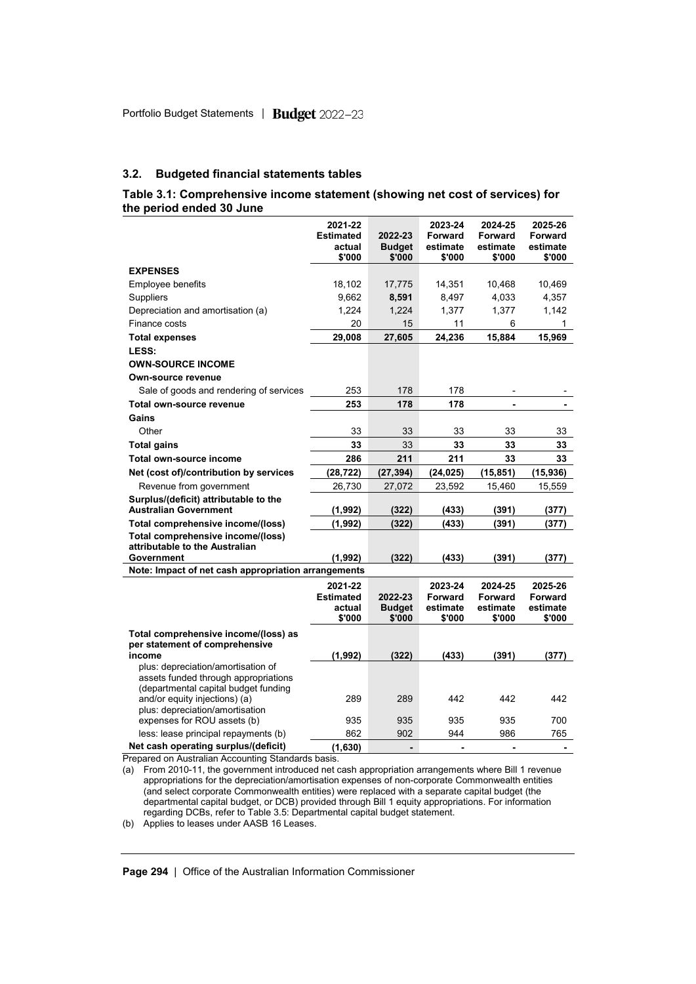#### **3.2. Budgeted financial statements tables**

#### **Table 3.1: Comprehensive income statement (showing net cost of services) for the period ended 30 June**

|                                                                                                                    | 2021-22<br><b>Estimated</b><br>actual<br>\$'000 | 2022-23<br><b>Budget</b><br>\$'000 | 2023-24<br><b>Forward</b><br>estimate<br>\$'000 | 2024-25<br><b>Forward</b><br>estimate<br>\$'000 | 2025-26<br><b>Forward</b><br>estimate<br>\$'000 |
|--------------------------------------------------------------------------------------------------------------------|-------------------------------------------------|------------------------------------|-------------------------------------------------|-------------------------------------------------|-------------------------------------------------|
| <b>EXPENSES</b>                                                                                                    |                                                 |                                    |                                                 |                                                 |                                                 |
| <b>Employee benefits</b>                                                                                           | 18,102                                          | 17,775                             | 14,351                                          | 10,468                                          | 10,469                                          |
| Suppliers                                                                                                          | 9,662                                           | 8,591                              | 8,497                                           | 4,033                                           | 4,357                                           |
| Depreciation and amortisation (a)                                                                                  | 1,224                                           | 1,224                              | 1,377                                           | 1,377                                           | 1,142                                           |
| Finance costs                                                                                                      | 20                                              | 15                                 | 11                                              | 6                                               | 1                                               |
| <b>Total expenses</b>                                                                                              | 29,008                                          | 27,605                             | 24,236                                          | 15,884                                          | 15,969                                          |
| LESS:                                                                                                              |                                                 |                                    |                                                 |                                                 |                                                 |
| <b>OWN-SOURCE INCOME</b>                                                                                           |                                                 |                                    |                                                 |                                                 |                                                 |
| Own-source revenue                                                                                                 |                                                 |                                    |                                                 |                                                 |                                                 |
| Sale of goods and rendering of services                                                                            | 253                                             | 178                                | 178                                             |                                                 |                                                 |
| Total own-source revenue                                                                                           | 253                                             | 178                                | 178                                             | ÷                                               |                                                 |
| Gains                                                                                                              |                                                 |                                    |                                                 |                                                 |                                                 |
| Other                                                                                                              | 33                                              | 33                                 | 33                                              | 33                                              | 33                                              |
| <b>Total gains</b>                                                                                                 | 33                                              | 33                                 | 33                                              | 33                                              | 33                                              |
| Total own-source income                                                                                            | 286                                             | 211                                | 211                                             | 33                                              | 33                                              |
| Net (cost of)/contribution by services                                                                             | (28, 722)                                       | (27, 394)                          | (24, 025)                                       | (15, 851)                                       | (15, 936)                                       |
| Revenue from government                                                                                            | 26,730                                          | 27,072                             | 23,592                                          | 15,460                                          | 15,559                                          |
| Surplus/(deficit) attributable to the<br><b>Australian Government</b>                                              | (1, 992)                                        | (322)                              | (433)                                           | (391)                                           | (377)                                           |
| Total comprehensive income/(loss)                                                                                  | (1,992)                                         | (322)                              | (433)                                           | (391)                                           | (377)                                           |
| Total comprehensive income/(loss)<br>attributable to the Australian                                                |                                                 |                                    |                                                 |                                                 |                                                 |
| Government                                                                                                         | (1, 992)                                        | (322)                              | (433)                                           | (391)                                           | (377)                                           |
| Note: Impact of net cash appropriation arrangements                                                                |                                                 |                                    |                                                 |                                                 |                                                 |
|                                                                                                                    | 2021-22<br><b>Estimated</b><br>actual<br>\$'000 | 2022-23<br><b>Budget</b><br>\$'000 | 2023-24<br><b>Forward</b><br>estimate<br>\$'000 | 2024-25<br><b>Forward</b><br>estimate<br>\$'000 | 2025-26<br>Forward<br>estimate<br>\$'000        |
| Total comprehensive income/(loss) as<br>per statement of comprehensive                                             |                                                 |                                    |                                                 |                                                 |                                                 |
| income                                                                                                             | (1, 992)                                        | (322)                              | (433)                                           | (391)                                           | (377)                                           |
| plus: depreciation/amortisation of<br>assets funded through appropriations<br>(departmental capital budget funding |                                                 |                                    |                                                 |                                                 |                                                 |
| and/or equity injections) (a)<br>plus: depreciation/amortisation                                                   | 289                                             | 289                                | 442                                             | 442                                             | 442                                             |
| expenses for ROU assets (b)                                                                                        | 935                                             | 935                                | 935                                             | 935                                             | 700                                             |
| less: lease principal repayments (b)                                                                               | 862                                             | 902                                | 944                                             | 986                                             | 765                                             |
| Net cash operating surplus/(deficit)                                                                               | (1,630)                                         | $\blacksquare$                     | $\blacksquare$                                  | $\blacksquare$                                  | $\blacksquare$                                  |

Prepared on Australian Accounting Standards basis.

(a) From 2010-11, the government introduced net cash appropriation arrangements where Bill 1 revenue appropriations for the depreciation/amortisation expenses of non-corporate Commonwealth entities (and select corporate Commonwealth entities) were replaced with a separate capital budget (the departmental capital budget, or DCB) provided through Bill 1 equity appropriations. For information regarding DCBs, refer to Table 3.5: Departmental capital budget statement.

(b) Applies to leases under AASB 16 Leases.

**Page 294** | Office of the Australian Information Commissioner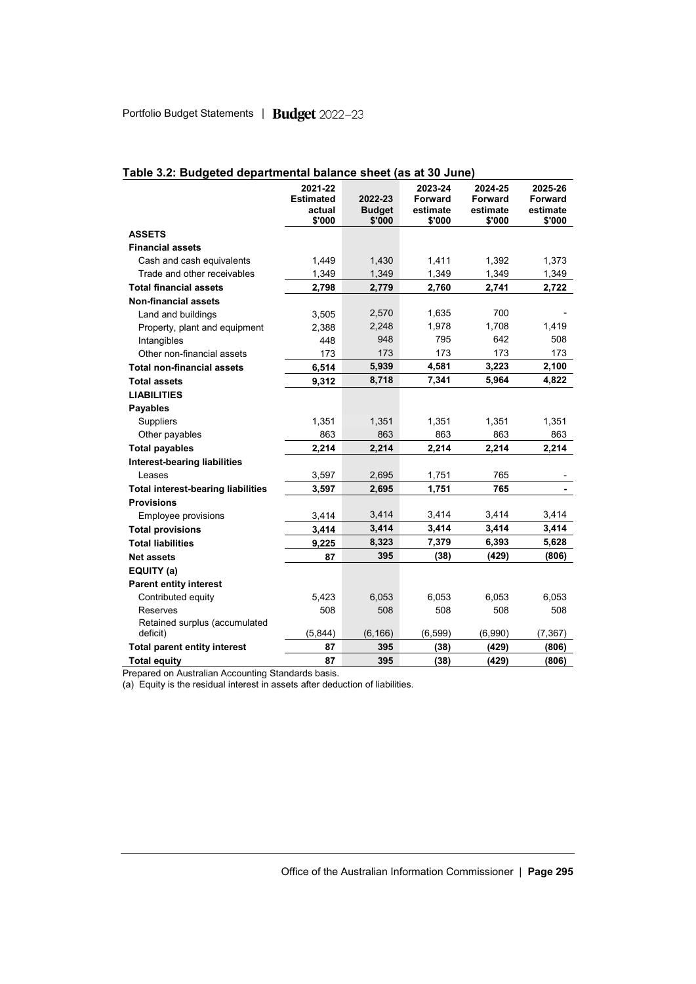|                                           | 2021-22<br><b>Estimated</b><br>actual<br>\$'000 | 2022-23<br><b>Budget</b><br>\$'000 | 2023-24<br>Forward<br>estimate<br>\$'000 | 2024-25<br>Forward<br>estimate<br>\$'000 | 2025-26<br>Forward<br>estimate<br>\$'000 |
|-------------------------------------------|-------------------------------------------------|------------------------------------|------------------------------------------|------------------------------------------|------------------------------------------|
| <b>ASSETS</b>                             |                                                 |                                    |                                          |                                          |                                          |
| <b>Financial assets</b>                   |                                                 |                                    |                                          |                                          |                                          |
| Cash and cash equivalents                 | 1,449                                           | 1,430                              | 1,411                                    | 1,392                                    | 1,373                                    |
| Trade and other receivables               | 1,349                                           | 1,349                              | 1,349                                    | 1,349                                    | 1,349                                    |
| <b>Total financial assets</b>             | 2,798                                           | 2,779                              | 2,760                                    | 2,741                                    | 2,722                                    |
| <b>Non-financial assets</b>               |                                                 |                                    |                                          |                                          |                                          |
| Land and buildings                        | 3,505                                           | 2,570                              | 1,635                                    | 700                                      |                                          |
| Property, plant and equipment             | 2,388                                           | 2,248                              | 1,978                                    | 1,708                                    | 1,419                                    |
| Intangibles                               | 448                                             | 948                                | 795                                      | 642                                      | 508                                      |
| Other non-financial assets                | 173                                             | 173                                | 173                                      | 173                                      | 173                                      |
| <b>Total non-financial assets</b>         | 6,514                                           | 5,939                              | 4,581                                    | 3,223                                    | 2,100                                    |
| <b>Total assets</b>                       | 9,312                                           | 8,718                              | 7,341                                    | 5,964                                    | 4,822                                    |
| <b>LIABILITIES</b>                        |                                                 |                                    |                                          |                                          |                                          |
| <b>Payables</b>                           |                                                 |                                    |                                          |                                          |                                          |
| Suppliers                                 | 1,351                                           | 1,351                              | 1,351                                    | 1,351                                    | 1,351                                    |
| Other payables                            | 863                                             | 863                                | 863                                      | 863                                      | 863                                      |
| <b>Total payables</b>                     | 2,214                                           | 2,214                              | 2,214                                    | 2,214                                    | 2,214                                    |
| <b>Interest-bearing liabilities</b>       |                                                 |                                    |                                          |                                          |                                          |
| Leases                                    | 3,597                                           | 2,695                              | 1,751                                    | 765                                      |                                          |
| <b>Total interest-bearing liabilities</b> | 3,597                                           | 2,695                              | 1,751                                    | 765                                      | $\blacksquare$                           |
| <b>Provisions</b>                         |                                                 |                                    |                                          |                                          |                                          |
| Employee provisions                       | 3,414                                           | 3,414                              | 3,414                                    | 3,414                                    | 3,414                                    |
| <b>Total provisions</b>                   | 3,414                                           | 3,414                              | 3,414                                    | 3,414                                    | 3,414                                    |
| <b>Total liabilities</b>                  | 9,225                                           | 8,323                              | 7,379                                    | 6,393                                    | 5,628                                    |
| <b>Net assets</b>                         | 87                                              | 395                                | (38)                                     | (429)                                    | (806)                                    |
| EQUITY (a)                                |                                                 |                                    |                                          |                                          |                                          |
| <b>Parent entity interest</b>             |                                                 |                                    |                                          |                                          |                                          |
| Contributed equity                        | 5,423                                           | 6,053                              | 6,053                                    | 6,053                                    | 6,053                                    |
| Reserves                                  | 508                                             | 508                                | 508                                      | 508                                      | 508                                      |
| Retained surplus (accumulated             |                                                 |                                    |                                          |                                          |                                          |
| deficit)                                  | (5,844)                                         | (6, 166)                           | (6, 599)                                 | (6,990)                                  | (7, 367)                                 |
| <b>Total parent entity interest</b>       | 87                                              | 395                                | (38)                                     | (429)                                    | (806)                                    |
| <b>Total equity</b>                       | 87                                              | 395                                | (38)                                     | (429)                                    | (806)                                    |

# **Table 3.2: Budgeted departmental balance sheet (as at 30 June)**

Prepared on Australian Accounting Standards basis.

(a) Equity is the residual interest in assets after deduction of liabilities.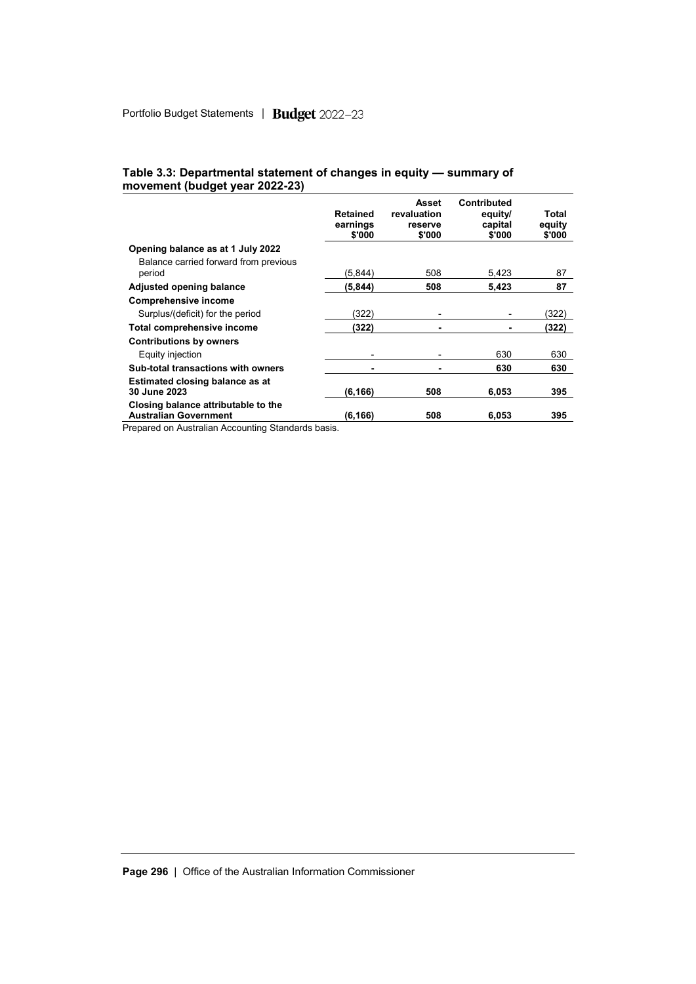|                                                                     | <b>Retained</b><br>earnings<br>\$'000 | Asset<br>revaluation<br>reserve<br>\$'000 | Contributed<br>equity/<br>capital<br>\$'000 | Total<br>equity<br>\$'000 |
|---------------------------------------------------------------------|---------------------------------------|-------------------------------------------|---------------------------------------------|---------------------------|
| Opening balance as at 1 July 2022                                   |                                       |                                           |                                             |                           |
| Balance carried forward from previous<br>period                     | (5,844)                               | 508                                       | 5,423                                       | 87                        |
| Adjusted opening balance                                            | (5, 844)                              | 508                                       | 5,423                                       | 87                        |
| <b>Comprehensive income</b>                                         |                                       |                                           |                                             |                           |
| Surplus/(deficit) for the period                                    | (322)                                 | -                                         |                                             | (322)                     |
| Total comprehensive income                                          | (322)                                 | ۰                                         | ۰                                           | (322)                     |
| <b>Contributions by owners</b>                                      |                                       |                                           |                                             |                           |
| Equity injection                                                    |                                       | ۰                                         | 630                                         | 630                       |
| Sub-total transactions with owners                                  |                                       | ۰                                         | 630                                         | 630                       |
| Estimated closing balance as at<br>30 June 2023                     | (6, 166)                              | 508                                       | 6,053                                       | 395                       |
| Closing balance attributable to the<br><b>Australian Government</b> | (6, 166)                              | 508                                       | 6.053                                       | 395                       |

### **Table 3.3: Departmental statement of changes in equity — summary of movement (budget year 2022-23)**

Prepared on Australian Accounting Standards basis.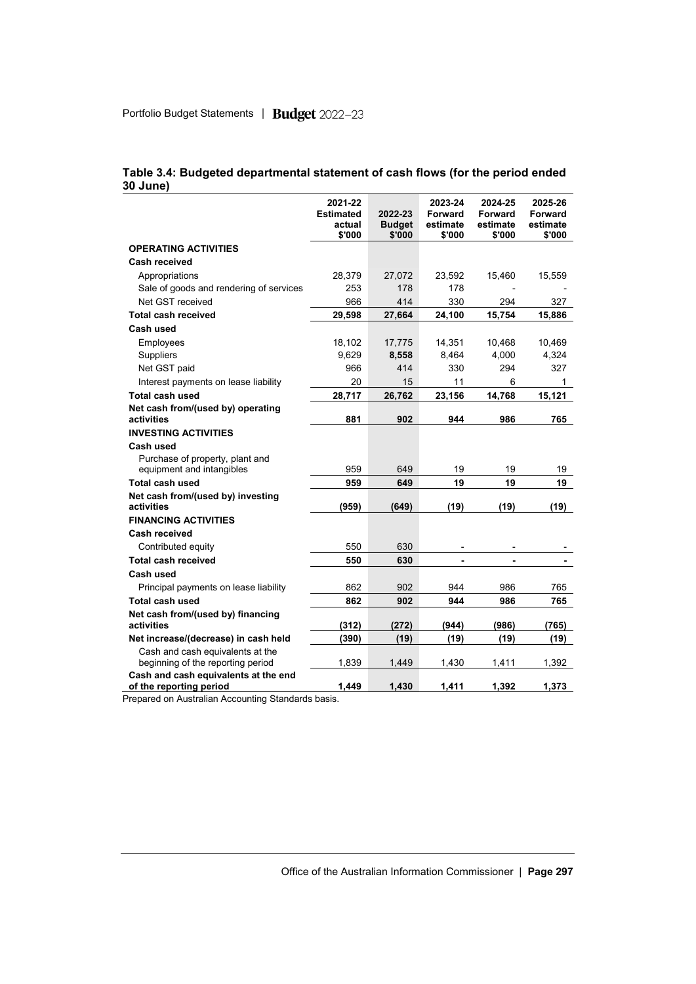|                                                                 | 2021-22<br><b>Estimated</b><br>actual<br>\$'000 | 2022-23<br><b>Budget</b><br>\$'000 | 2023-24<br><b>Forward</b><br>estimate<br>\$'000 | 2024-25<br><b>Forward</b><br>estimate<br>\$'000 | 2025-26<br><b>Forward</b><br>estimate<br>\$'000 |
|-----------------------------------------------------------------|-------------------------------------------------|------------------------------------|-------------------------------------------------|-------------------------------------------------|-------------------------------------------------|
| <b>OPERATING ACTIVITIES</b>                                     |                                                 |                                    |                                                 |                                                 |                                                 |
| <b>Cash received</b>                                            |                                                 |                                    |                                                 |                                                 |                                                 |
| Appropriations                                                  | 28,379                                          | 27,072                             | 23,592                                          | 15,460                                          | 15,559                                          |
| Sale of goods and rendering of services                         | 253                                             | 178                                | 178                                             |                                                 |                                                 |
| Net GST received                                                | 966                                             | 414                                | 330                                             | 294                                             | 327                                             |
| <b>Total cash received</b>                                      | 29,598                                          | 27,664                             | 24,100                                          | 15,754                                          | 15,886                                          |
| Cash used                                                       |                                                 |                                    |                                                 |                                                 |                                                 |
| Employees                                                       | 18,102                                          | 17,775                             | 14,351                                          | 10,468                                          | 10,469                                          |
| Suppliers                                                       | 9,629                                           | 8,558                              | 8,464                                           | 4,000                                           | 4,324                                           |
| Net GST paid                                                    | 966                                             | 414                                | 330                                             | 294                                             | 327                                             |
| Interest payments on lease liability                            | 20                                              | 15                                 | 11                                              | 6                                               | 1                                               |
| Total cash used                                                 | 28,717                                          | 26,762                             | 23,156                                          | 14,768                                          | 15,121                                          |
| Net cash from/(used by) operating<br>activities                 | 881                                             | 902                                | 944                                             | 986                                             | 765                                             |
| <b>INVESTING ACTIVITIES</b>                                     |                                                 |                                    |                                                 |                                                 |                                                 |
| Cash used                                                       |                                                 |                                    |                                                 |                                                 |                                                 |
| Purchase of property, plant and                                 |                                                 |                                    |                                                 |                                                 |                                                 |
| equipment and intangibles                                       | 959                                             | 649                                | 19                                              | 19                                              | 19                                              |
| Total cash used                                                 | 959                                             | 649                                | 19                                              | 19                                              | 19                                              |
| Net cash from/(used by) investing<br>activities                 | (959)                                           | (649)                              | (19)                                            | (19)                                            | (19)                                            |
| <b>FINANCING ACTIVITIES</b>                                     |                                                 |                                    |                                                 |                                                 |                                                 |
| <b>Cash received</b>                                            |                                                 |                                    |                                                 |                                                 |                                                 |
| Contributed equity                                              | 550                                             | 630                                |                                                 |                                                 |                                                 |
| <b>Total cash received</b>                                      | 550                                             | 630                                | ä,                                              |                                                 |                                                 |
| Cash used                                                       |                                                 |                                    |                                                 |                                                 |                                                 |
| Principal payments on lease liability                           | 862                                             | 902                                | 944                                             | 986                                             | 765                                             |
| Total cash used                                                 | 862                                             | 902                                | 944                                             | 986                                             | 765                                             |
| Net cash from/(used by) financing<br>activities                 | (312)                                           | (272)                              | (944)                                           | (986)                                           | (765)                                           |
| Net increase/(decrease) in cash held                            | (390)                                           | (19)                               | (19)                                            | (19)                                            | (19)                                            |
| Cash and cash equivalents at the                                |                                                 |                                    |                                                 |                                                 |                                                 |
| beginning of the reporting period                               | 1,839                                           | 1,449                              | 1,430                                           | 1,411                                           | 1,392                                           |
| Cash and cash equivalents at the end<br>of the reporting period | 1.449                                           | 1.430                              | 1,411                                           | 1,392                                           | 1,373                                           |

### **Table 3.4: Budgeted departmental statement of cash flows (for the period ended 30 June)**

Prepared on Australian Accounting Standards basis.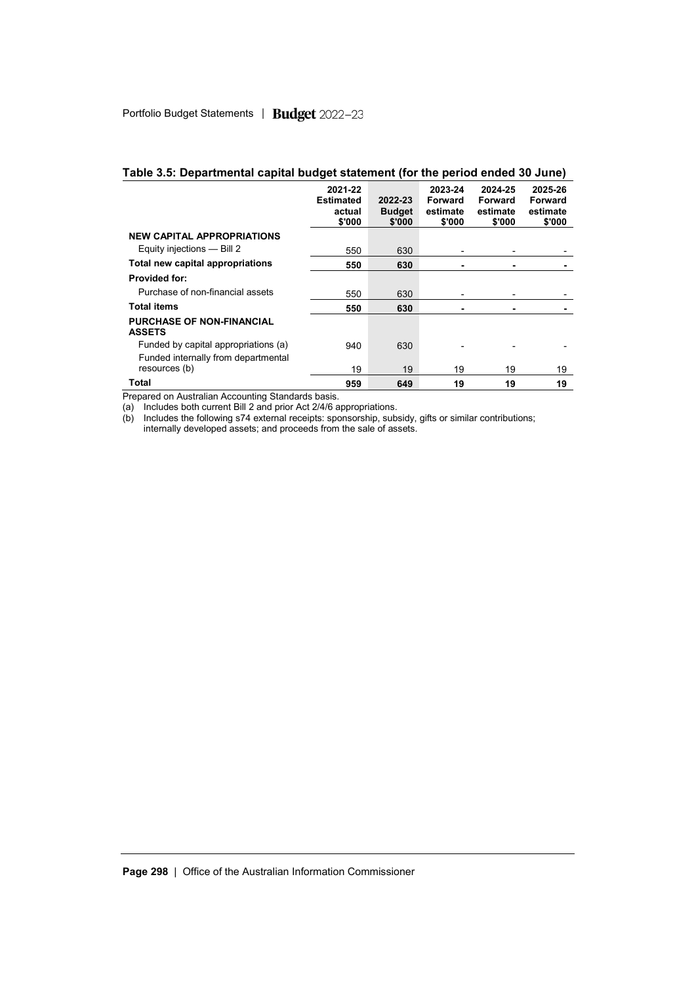| Table 3.5: Departmental capital budget statement (for the period ended 30 June) |  |
|---------------------------------------------------------------------------------|--|
|---------------------------------------------------------------------------------|--|

|                                                                             | 2021-22<br><b>Estimated</b><br>actual<br>\$'000 | 2022-23<br><b>Budget</b><br>\$'000 | 2023-24<br>Forward<br>estimate<br>\$'000 | 2024-25<br>Forward<br>estimate<br>\$'000 | 2025-26<br>Forward<br>estimate<br>\$'000 |
|-----------------------------------------------------------------------------|-------------------------------------------------|------------------------------------|------------------------------------------|------------------------------------------|------------------------------------------|
| <b>NEW CAPITAL APPROPRIATIONS</b>                                           |                                                 |                                    |                                          |                                          |                                          |
| Equity injections - Bill 2                                                  | 550                                             | 630                                |                                          |                                          |                                          |
| Total new capital appropriations                                            | 550                                             | 630                                |                                          |                                          |                                          |
| <b>Provided for:</b>                                                        |                                                 |                                    |                                          |                                          |                                          |
| Purchase of non-financial assets                                            | 550                                             | 630                                |                                          | -                                        |                                          |
| <b>Total items</b>                                                          | 550                                             | 630                                |                                          | ۰                                        |                                          |
| <b>PURCHASE OF NON-FINANCIAL</b><br><b>ASSETS</b>                           |                                                 |                                    |                                          |                                          |                                          |
| Funded by capital appropriations (a)<br>Funded internally from departmental | 940                                             | 630                                |                                          |                                          |                                          |
| resources (b)                                                               | 19                                              | 19                                 | 19                                       | 19                                       | 19                                       |
| Total                                                                       | 959                                             | 649                                | 19                                       | 19                                       | 19                                       |

Prepared on Australian Accounting Standards basis.

(a) Includes both current Bill 2 and prior Act 2/4/6 appropriations.

(b) Includes the following s74 external receipts: sponsorship, subsidy, gifts or similar contributions;

internally developed assets; and proceeds from the sale of assets.